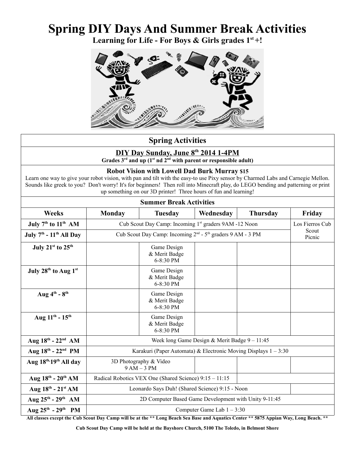# **Spring DIY Days And Summer Break Activities**

**Learning for Life - For Boys & Girls grades 1st +!**



## **Spring Activities**

# **DIY Day Sunday, June 8th 2014 1-4PM**

**Grades 3rd and up (1st nd 2nd with parent or responsible adult)**

#### **Robot Vision with Lowell Dad Burk Murray \$15**

Learn one way to give your robot vision, with pan and tilt with the easy-to use Pixy sensor by Charmed Labs and Carnegie Mellon. Sounds like greek to you? Don't worry! It's for beginners! Then roll into Minecraft play, do LEGO bending and patterning or print up something on our 3D printer! Three hours of fun and learning!

| <b>Summer Break Activities</b>               |                                                                                    |                                           |           |                 |                 |  |  |
|----------------------------------------------|------------------------------------------------------------------------------------|-------------------------------------------|-----------|-----------------|-----------------|--|--|
| <b>Weeks</b>                                 | <b>Monday</b>                                                                      | <b>Tuesday</b>                            | Wednesday | <b>Thursday</b> | Friday          |  |  |
| July $7th$ to $11th$ AM                      | Cub Scout Day Camp: Incoming 1 <sup>st</sup> graders 9AM -12 Noon                  |                                           |           |                 | Los Fierros Cub |  |  |
| July $7th$ - $11th$ All Day                  | Cub Scout Day Camp: Incoming 2 <sup>nd</sup> - 5 <sup>th</sup> graders 9 AM - 3 PM |                                           |           |                 | Scout<br>Picnic |  |  |
| July $21st$ to $25th$                        |                                                                                    | Game Design<br>& Merit Badge<br>6-8:30 PM |           |                 |                 |  |  |
| July 28 <sup>th</sup> to Aug 1 <sup>st</sup> |                                                                                    | Game Design<br>& Merit Badge<br>6-8:30 PM |           |                 |                 |  |  |
| Aug $4^{\text{th}}$ - $8^{\text{th}}$        |                                                                                    | Game Design<br>& Merit Badge<br>6-8:30 PM |           |                 |                 |  |  |
| Aug $11^{th}$ - $15^{th}$                    |                                                                                    | Game Design<br>& Merit Badge<br>6-8:30 PM |           |                 |                 |  |  |
| Aug $18^{\text{th}}$ - $22^{\text{nd}}$ AM   | Week long Game Design & Merit Badge $9 - 11:45$                                    |                                           |           |                 |                 |  |  |
| Aug 18th - 22nd PM                           | Karakuri (Paper Automata) & Electronic Moving Displays $1 - 3:30$                  |                                           |           |                 |                 |  |  |
| Aug 18th, 19th All day                       | 3D Photography & Video<br>$9 AM - 3 PM$                                            |                                           |           |                 |                 |  |  |
| Aug $18^{th}$ - $20^{th}$ AM                 | Radical Robotics VEX One (Shared Science) 9:15 - 11:15                             |                                           |           |                 |                 |  |  |
| Aug $18^{\text{th}}$ - $21^{\text{st}}$ AM   | Leonardo Says Duh! (Shared Science) 9:15 - Noon                                    |                                           |           |                 |                 |  |  |
| Aug $25^{th}$ - $29^{th}$ AM                 | 2D Computer Based Game Development with Unity 9-11:45                              |                                           |           |                 |                 |  |  |
| Aug $25^{th}$ - $29^{th}$ PM                 | Computer Game Lab $1 - 3:30$                                                       |                                           |           |                 |                 |  |  |

**All classes except the Cub Scout Day Camp will be at the \*\* Long Beach Sea Base and Aquatics Center \*\* 5875 Appian Way, Long Beach. \*\***

**Cub Scout Day Camp will be held at the Bayshore Church, 5100 The Toledo, in Belmont Shore**